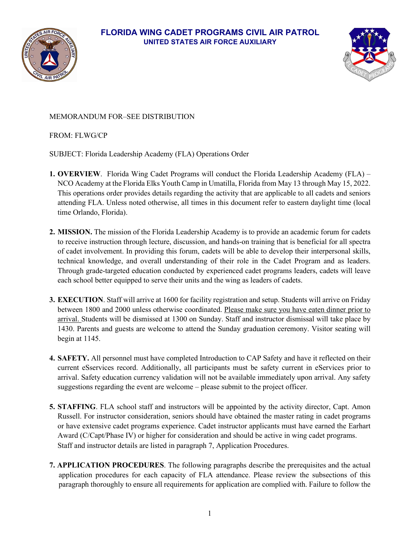

#### **FLORIDA WING CADET PROGRAMS CIVIL AIR PATROL UNITED STATES AIR FORCE AUXILIARY**



#### MEMORANDUM FOR–SEE DISTRIBUTION

FROM: FLWG/CP

SUBJECT: Florida Leadership Academy (FLA) Operations Order

- **1. OVERVIEW**. Florida Wing Cadet Programs will conduct the Florida Leadership Academy (FLA) NCO Academy at the Florida Elks Youth Camp in Umatilla, Florida from May 13 through May 15, 2022. This operations order provides details regarding the activity that are applicable to all cadets and seniors attending FLA. Unless noted otherwise, all times in this document refer to eastern daylight time (local time Orlando, Florida).
- **2. MISSION.** The mission of the Florida Leadership Academy is to provide an academic forum for cadets to receive instruction through lecture, discussion, and hands-on training that is beneficial for all spectra of cadet involvement. In providing this forum, cadets will be able to develop their interpersonal skills, technical knowledge, and overall understanding of their role in the Cadet Program and as leaders. Through grade-targeted education conducted by experienced cadet programs leaders, cadets will leave each school better equipped to serve their units and the wing as leaders of cadets.
- **3. EXECUTION**. Staff will arrive at 1600 for facility registration and setup. Students will arrive on Friday between 1800 and 2000 unless otherwise coordinated. Please make sure you have eaten dinner prior to arrival. Students will be dismissed at 1300 on Sunday. Staff and instructor dismissal will take place by 1430. Parents and guests are welcome to attend the Sunday graduation ceremony. Visitor seating will begin at 1145.
- **4. SAFETY.** All personnel must have completed Introduction to CAP Safety and have it reflected on their current eSservices record. Additionally, all participants must be safety current in eServices prior to arrival. Safety education currency validation will not be available immediately upon arrival. Any safety suggestions regarding the event are welcome – please submit to the project officer.
- **5. STAFFING**. FLA school staff and instructors will be appointed by the activity director, Capt. Amon Russell. For instructor consideration, seniors should have obtained the master rating in cadet programs or have extensive cadet programs experience. Cadet instructor applicants must have earned the Earhart Award (C/Capt/Phase IV) or higher for consideration and should be active in wing cadet programs. Staff and instructor details are listed in paragraph 7, Application Procedures.
- **7. APPLICATION PROCEDURES**. The following paragraphs describe the prerequisites and the actual application procedures for each capacity of FLA attendance. Please review the subsections of this paragraph thoroughly to ensure all requirements for application are complied with. Failure to follow the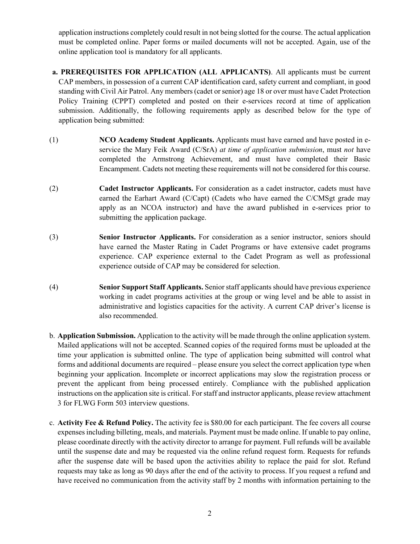application instructions completely could result in not being slotted for the course. The actual application must be completed online. Paper forms or mailed documents will not be accepted. Again, use of the online application tool is mandatory for all applicants.

- **a. PREREQUISITES FOR APPLICATION (ALL APPLICANTS)**. All applicants must be current CAP members, in possession of a current CAP identification card, safety current and compliant, in good standing with Civil Air Patrol. Any members (cadet or senior) age 18 or over must have Cadet Protection Policy Training (CPPT) completed and posted on their e-services record at time of application submission. Additionally, the following requirements apply as described below for the type of application being submitted:
- (1) **NCO Academy Student Applicants.** Applicants must have earned and have posted in eservice the Mary Feik Award (C/SrA) *at time of application submission*, must *not* have completed the Armstrong Achievement, and must have completed their Basic Encampment. Cadets not meeting these requirements will not be considered for this course.
- (2) **Cadet Instructor Applicants.** For consideration as a cadet instructor, cadets must have earned the Earhart Award (C/Capt) (Cadets who have earned the C/CMSgt grade may apply as an NCOA instructor) and have the award published in e-services prior to submitting the application package.
- (3) **Senior Instructor Applicants.** For consideration as a senior instructor, seniors should have earned the Master Rating in Cadet Programs or have extensive cadet programs experience. CAP experience external to the Cadet Program as well as professional experience outside of CAP may be considered for selection.
- (4) **Senior Support Staff Applicants.** Senior staff applicants should have previous experience working in cadet programs activities at the group or wing level and be able to assist in administrative and logistics capacities for the activity. A current CAP driver's license is also recommended.
- b. **Application Submission.** Application to the activity will be made through the online application system. Mailed applications will not be accepted. Scanned copies of the required forms must be uploaded at the time your application is submitted online. The type of application being submitted will control what forms and additional documents are required – please ensure you select the correct application type when beginning your application. Incomplete or incorrect applications may slow the registration process or prevent the applicant from being processed entirely. Compliance with the published application instructions on the application site is critical. For staff and instructor applicants, please review attachment 3 for FLWG Form 503 interview questions.
- c. **Activity Fee & Refund Policy.** The activity fee is \$80.00 for each participant. The fee covers all course expenses including billeting, meals, and materials. Payment must be made online. If unable to pay online, please coordinate directly with the activity director to arrange for payment. Full refunds will be available until the suspense date and may be requested via the online refund request form. Requests for refunds after the suspense date will be based upon the activities ability to replace the paid for slot. Refund requests may take as long as 90 days after the end of the activity to process. If you request a refund and have received no communication from the activity staff by 2 months with information pertaining to the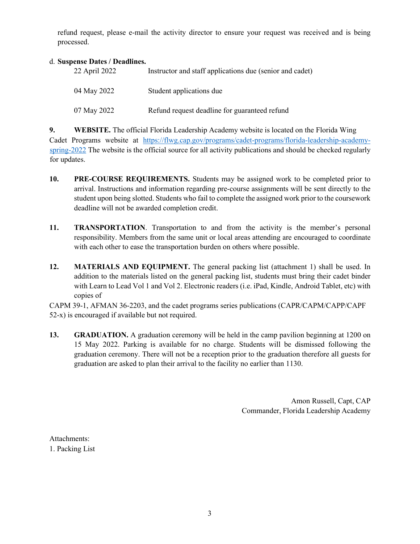refund request, please e-mail the activity director to ensure your request was received and is being processed.

#### d. **Suspense Dates / Deadlines.**

| 22 April 2022 | Instructor and staff applications due (senior and cadet) |
|---------------|----------------------------------------------------------|
| 04 May 2022   | Student applications due                                 |
| 07 May 2022   | Refund request deadline for guaranteed refund            |

**9. WEBSITE.** The official Florida Leadership Academy website is located on the Florida Wing Cadet Programs website at [https://flwg.cap.gov/programs/cadet-programs/florida-leadership-academy](https://flwg.cap.gov/programs/cadet-programs/florida-leadership-academy-spring-2022)[spring-2022](https://flwg.cap.gov/programs/cadet-programs/florida-leadership-academy-spring-2022) The website is the official source for all activity publications and should be checked regularly for updates.

- **10. PRE-COURSE REQUIREMENTS.** Students may be assigned work to be completed prior to arrival. Instructions and information regarding pre-course assignments will be sent directly to the student upon being slotted. Students who fail to complete the assigned work prior to the coursework deadline will not be awarded completion credit.
- **11. TRANSPORTATION**. Transportation to and from the activity is the member's personal responsibility. Members from the same unit or local areas attending are encouraged to coordinate with each other to ease the transportation burden on others where possible.
- **12. MATERIALS AND EQUIPMENT.** The general packing list (attachment 1) shall be used. In addition to the materials listed on the general packing list, students must bring their cadet binder with Learn to Lead Vol 1 and Vol 2. Electronic readers (i.e. iPad, Kindle, Android Tablet, etc) with copies of

CAPM 39-1, AFMAN 36-2203, and the cadet programs series publications (CAPR/CAPM/CAPP/CAPF 52-x) is encouraged if available but not required.

**13. GRADUATION.** A graduation ceremony will be held in the camp pavilion beginning at 1200 on 15 May 2022. Parking is available for no charge. Students will be dismissed following the graduation ceremony. There will not be a reception prior to the graduation therefore all guests for graduation are asked to plan their arrival to the facility no earlier than 1130.

> Amon Russell, Capt, CAP Commander, Florida Leadership Academy

Attachments: 1. Packing List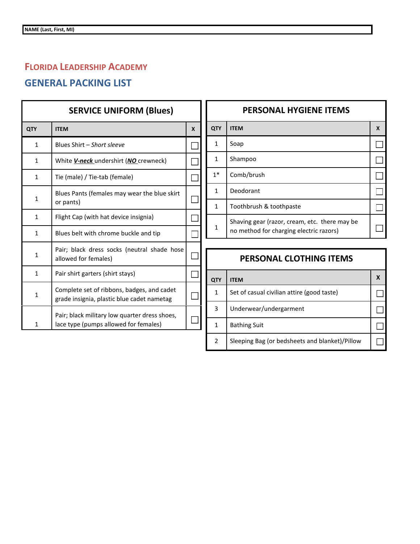# **FLORIDA LEADERSHIP ACADEMY**

## **GENERAL PACKING LIST**

| <b>SERVICE UNIFORM (Blues)</b> |                                                                                          |   |
|--------------------------------|------------------------------------------------------------------------------------------|---|
| <b>QTY</b>                     | <b>ITEM</b>                                                                              | X |
| 1                              | Blues Shirt - Short sleeve                                                               |   |
| 1                              | White <i>V-neck</i> undershirt (NO crewneck)                                             |   |
| 1                              | Tie (male) / Tie-tab (female)                                                            |   |
| $\mathbf{1}$                   | Blues Pants (females may wear the blue skirt<br>or pants)                                |   |
| $\mathbf{1}$                   | Flight Cap (with hat device insignia)                                                    |   |
| $\mathbf{1}$                   | Blues belt with chrome buckle and tip                                                    |   |
| $\mathbf{1}$                   | Pair; black dress socks (neutral shade hose<br>allowed for females)                      |   |
| 1                              | Pair shirt garters (shirt stays)                                                         |   |
| $\mathbf{1}$                   | Complete set of ribbons, badges, and cadet<br>grade insignia, plastic blue cadet nametag |   |
| 1                              | Pair; black military low quarter dress shoes,<br>lace type (pumps allowed for females)   |   |

| <b>PERSONAL HYGIENE ITEMS</b> |                                                                                          |   |
|-------------------------------|------------------------------------------------------------------------------------------|---|
| QTY                           | <b>ITEM</b>                                                                              | X |
| 1                             | Soap                                                                                     |   |
| 1                             | Shampoo                                                                                  |   |
| $1*$                          | Comb/brush                                                                               |   |
| 1                             | Deodorant                                                                                |   |
| 1                             | Toothbrush & toothpaste                                                                  |   |
| 1                             | Shaving gear (razor, cream, etc. there may be<br>no method for charging electric razors) |   |

## **PERSONAL CLOTHING ITEMS**

| QTY | <b>ITEM</b>                                    |  |
|-----|------------------------------------------------|--|
| 1   | Set of casual civilian attire (good taste)     |  |
| 3   | Underwear/undergarment                         |  |
| 1   | <b>Bathing Suit</b>                            |  |
| 2   | Sleeping Bag (or bedsheets and blanket)/Pillow |  |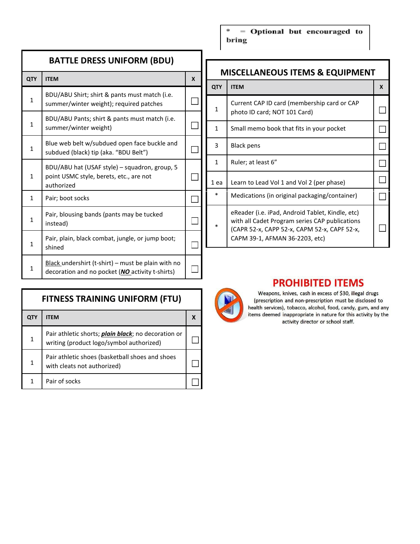| <b>BATTLE DRESS UNIFORM (BDU)</b> |                                                                                                        |   |
|-----------------------------------|--------------------------------------------------------------------------------------------------------|---|
| QTY                               | <b>ITEM</b>                                                                                            | X |
| 1                                 | BDU/ABU Shirt; shirt & pants must match (i.e.<br>summer/winter weight); required patches               |   |
| 1                                 | BDU/ABU Pants; shirt & pants must match (i.e.<br>summer/winter weight)                                 |   |
| $\mathbf{1}$                      | Blue web belt w/subdued open face buckle and<br>subdued (black) tip (aka. "BDU Belt")                  |   |
| $\mathbf{1}$                      | BDU/ABU hat (USAF style) - squadron, group, 5<br>point USMC style, berets, etc., are not<br>authorized |   |
| 1                                 | Pair; boot socks                                                                                       |   |
| 1                                 | Pair, blousing bands (pants may be tucked<br>instead)                                                  |   |
| 1                                 | Pair, plain, black combat, jungle, or jump boot;<br>shined                                             |   |
| 1                                 | Black undershirt (t-shirt) – must be plain with no<br>decoration and no pocket (NO activity t-shirts)  |   |

| <b>FITNESS TRAINING UNIFORM (FTU)</b> |                                                                                                         |  |
|---------------------------------------|---------------------------------------------------------------------------------------------------------|--|
| QTY                                   | ITEM                                                                                                    |  |
| 1                                     | Pair athletic shorts; <i>plain black</i> ; no decoration or<br>writing (product logo/symbol authorized) |  |
| 1                                     | Pair athletic shoes (basketball shoes and shoes<br>with cleats not authorized)                          |  |
|                                       | Pair of socks                                                                                           |  |

= Optional but encouraged to ÷ bring

## **MISCELLANEOUS ITEMS & EQUIPMENT**

| <b>QTY</b> | <b>ITEM</b>                                                                                                                                                                          | X |
|------------|--------------------------------------------------------------------------------------------------------------------------------------------------------------------------------------|---|
| 1          | Current CAP ID card (membership card or CAP<br>photo ID card; NOT 101 Card)                                                                                                          |   |
| 1          | Small memo book that fits in your pocket                                                                                                                                             |   |
| 3          | Black pens                                                                                                                                                                           |   |
| 1          | Ruler; at least 6"                                                                                                                                                                   |   |
| 1 ea       | Learn to Lead Vol 1 and Vol 2 (per phase)                                                                                                                                            |   |
| $\ast$     | Medications (in original packaging/container)                                                                                                                                        |   |
| *          | eReader (i.e. iPad, Android Tablet, Kindle, etc)<br>with all Cadet Program series CAP publications<br>(CAPR 52-x, CAPP 52-x, CAPM 52-x, CAPF 52-x,<br>CAPM 39-1, AFMAN 36-2203, etc) |   |



# **PROHIBITED ITEMS**

Weapons, knives, cash in excess of \$30, illegal drugs (prescription and non-prescription must be disclosed to health services), tobacco, alcohol, food, candy, gum, and any items deemed inappropriate in nature for this activity by the activity director or school staff.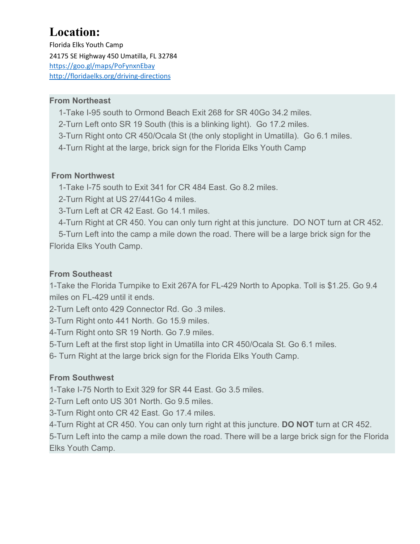# **Location:**

Florida Elks Youth Camp 24175 SE Highway 450 Umatilla, FL 32784 <https://goo.gl/maps/PoFynxnEbay> <http://floridaelks.org/driving-directions>

## **From Northeast**

1-Take I-95 south to Ormond Beach Exit 268 for SR 40Go 34.2 miles.

- 2-Turn Left onto SR 19 South (this is a blinking light). Go 17.2 miles.
- 3-Turn Right onto CR 450/Ocala St (the only stoplight in Umatilla). Go 6.1 miles.
- 4-Turn Right at the large, brick sign for the Florida Elks Youth Camp

#### **From Northwest**

1-Take I-75 south to Exit 341 for CR 484 East. Go 8.2 miles.

2-Turn Right at US 27/441Go 4 miles.

3-Turn Left at CR 42 East. Go 14.1 miles.

4-Turn Right at CR 450. You can only turn right at this juncture. DO NOT turn at CR 452.

 5-Turn Left into the camp a mile down the road. There will be a large brick sign for the Florida Elks Youth Camp.

## **From Southeast**

1-Take the Florida Turnpike to Exit 267A for FL-429 North to Apopka. Toll is \$1.25. Go 9.4 miles on FL-429 until it ends.

2-Turn Left onto 429 Connector Rd. Go .3 miles.

3-Turn Right onto 441 North. Go 15.9 miles.

4-Turn Right onto SR 19 North. Go 7.9 miles.

5-Turn Left at the first stop light in Umatilla into CR 450/Ocala St. Go 6.1 miles.

6- Turn Right at the large brick sign for the Florida Elks Youth Camp.

## **From Southwest**

1-Take I-75 North to Exit 329 for SR 44 East. Go 3.5 miles.

2-Turn Left onto US 301 North. Go 9.5 miles.

3-Turn Right onto CR 42 East. Go 17.4 miles.

4-Turn Right at CR 450. You can only turn right at this juncture. **DO NOT** turn at CR 452.

5-Turn Left into the camp a mile down the road. There will be a large brick sign for the Florida Elks Youth Camp.